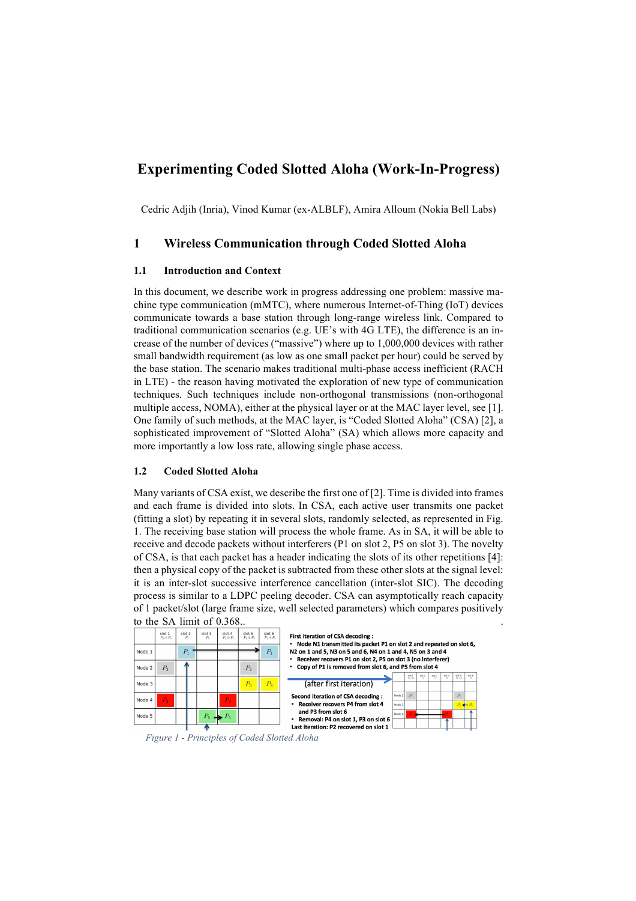# **Experimenting Coded Slotted Aloha (Work-In-Progress)**

Cedric Adjih (Inria), Vinod Kumar (ex-ALBLF), Amira Alloum (Nokia Bell Labs)

## **1 Wireless Communication through Coded Slotted Aloha**

#### **1.1 Introduction and Context**

In this document, we describe work in progress addressing one problem: massive machine type communication (mMTC), where numerous Internet-of-Thing (IoT) devices communicate towards a base station through long-range wireless link. Compared to traditional communication scenarios (e.g. UE's with 4G LTE), the difference is an increase of the number of devices ("massive") where up to 1,000,000 devices with rather small bandwidth requirement (as low as one small packet per hour) could be served by the base station. The scenario makes traditional multi-phase access inefficient (RACH in LTE) - the reason having motivated the exploration of new type of communication techniques. Such techniques include non-orthogonal transmissions (non-orthogonal multiple access, NOMA), either at the physical layer or at the MAC layer level, see [1]. One family of such methods, at the MAC layer, is "Coded Slotted Aloha" (CSA) [2], a sophisticated improvement of "Slotted Aloha" (SA) which allows more capacity and more importantly a low loss rate, allowing single phase access.

### **1.2 Coded Slotted Aloha**

Many variants of CSA exist, we describe the first one of [2]. Time is divided into frames and each frame is divided into slots. In CSA, each active user transmits one packet (fitting a slot) by repeating it in several slots, randomly selected, as represented in Fig. 1. The receiving base station will process the whole frame. As in SA, it will be able to receive and decode packets without interferers (P1 on slot 2, P5 on slot 3). The novelty of CSA, is that each packet has a header indicating the slots of its other repetitions [4]: then a physical copy of the packet is subtracted from these other slots at the signal level: it is an inter-slot successive interference cancellation (inter-slot SIC). The decoding process is similar to a LDPC peeling decoder. CSA can asymptotically reach capacity of 1 packet/slot (large frame size, well selected parameters) which compares positively to the SA limit of 0.368.



*Figure 1 - Principles of Coded Slotted Aloha*